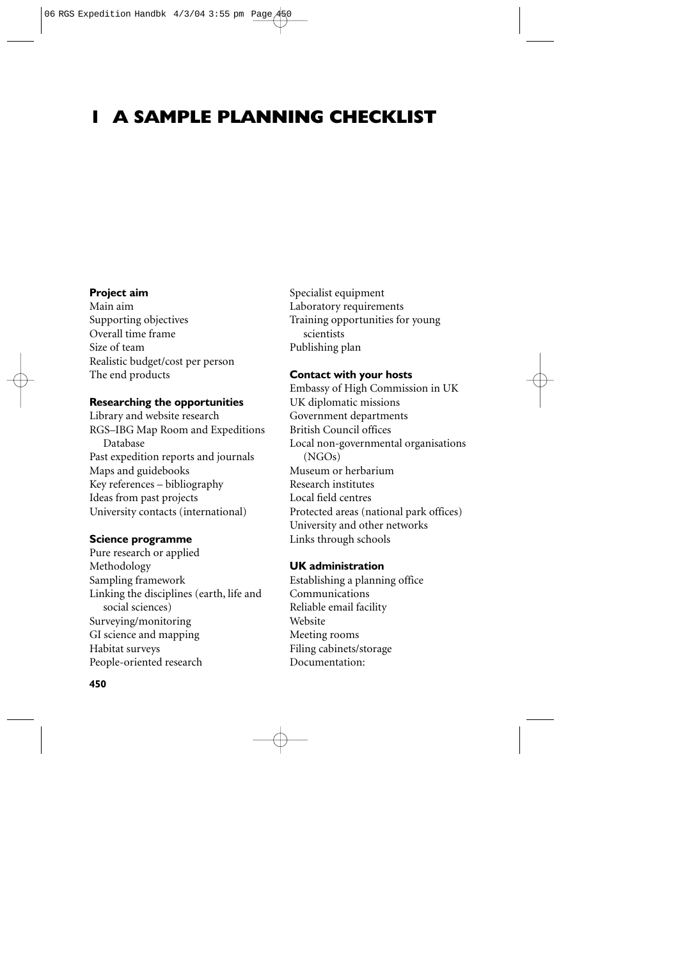# **1 A SAMPLE PLANNING CHECKLIST**

# **Project aim**

Main aim Supporting objectives Overall time frame Size of team Realistic budget/cost per person The end products

#### **Researching the opportunities**

Library and website research RGS–IBG Map Room and Expeditions Database Past expedition reports and journals Maps and guidebooks Key references – bibliography Ideas from past projects University contacts (international)

#### **Science programme**

Pure research or applied Methodology Sampling framework Linking the disciplines (earth, life and social sciences) Surveying/monitoring GI science and mapping Habitat surveys People-oriented research

**450**

Specialist equipment Laboratory requirements Training opportunities for young scientists Publishing plan

# **Contact with your hosts**

Embassy of High Commission in UK UK diplomatic missions Government departments British Council offices Local non-governmental organisations (NGOs) Museum or herbarium Research institutes Local field centres Protected areas (national park offices) University and other networks Links through schools

# **UK administration**

Establishing a planning office Communications Reliable email facility Website Meeting rooms Filing cabinets/storage Documentation: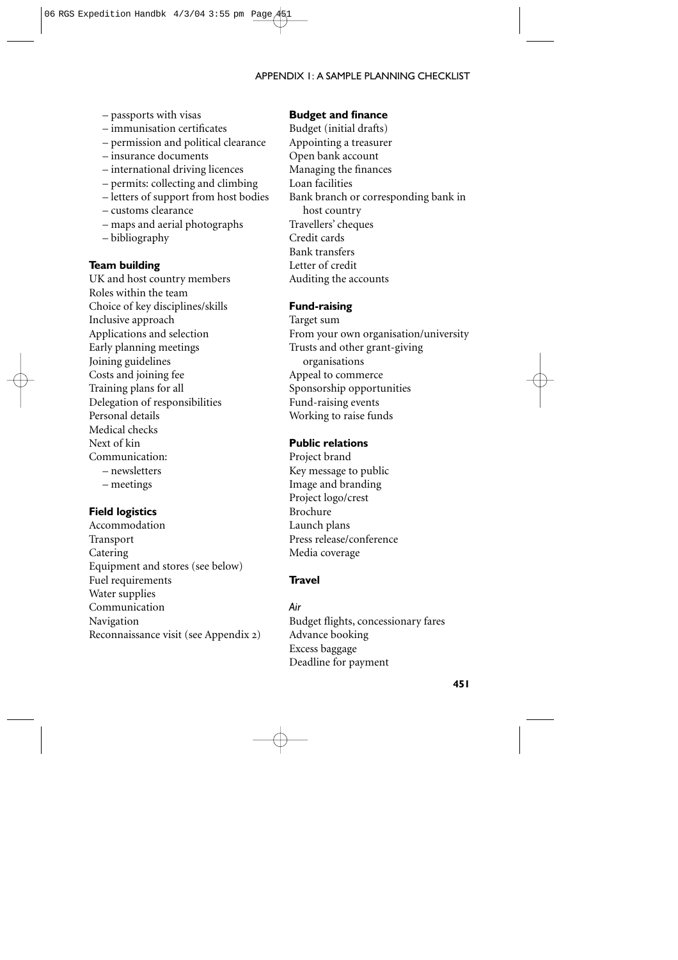# APPENDIX 1: A SAMPLE PLANNING CHECKLIST

- passports with visas
- immunisation certificates
- permission and political clearance
- insurance documents
- international driving licences
- permits: collecting and climbing
- letters of support from host bodies
- customs clearance
- maps and aerial photographs
- bibliography

#### **Team building**

UK and host country members Roles within the team Choice of key disciplines/skills Inclusive approach Applications and selection Early planning meetings Joining guidelines Costs and joining fee Training plans for all Delegation of responsibilities Personal details Medical checks Next of kin Communication: – newsletters – meetings

#### **Field logistics**

Accommodation Transport Catering Equipment and stores (see below) Fuel requirements Water supplies Communication Navigation Reconnaissance visit (see Appendix 2)

# **Budget and finance**

Budget (initial drafts) Appointing a treasurer Open bank account Managing the finances Loan facilities Bank branch or corresponding bank in host country Travellers' cheques Credit cards Bank transfers Letter of credit Auditing the accounts

# **Fund-raising**

Target sum From your own organisation/university Trusts and other grant-giving organisations Appeal to commerce Sponsorship opportunities Fund-raising events Working to raise funds

# **Public relations**

Project brand Key message to public Image and branding Project logo/crest Brochure Launch plans Press release/conference Media coverage

# **Travel**

*Air*  Budget flights, concessionary fares Advance booking Excess baggage Deadline for payment

**451**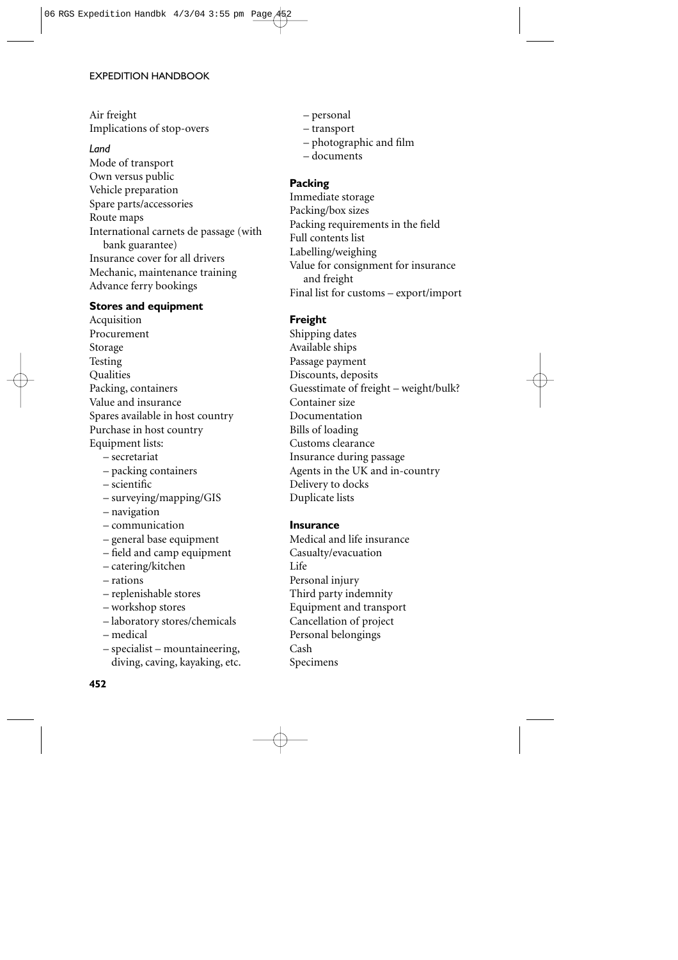#### EXPEDITION HANDBOOK

# Air freight Implications of stop-overs

#### *Land*

Mode of transport Own versus public Vehicle preparation Spare parts/accessories Route maps International carnets de passage (with bank guarantee) Insurance cover for all drivers Mechanic, maintenance training Advance ferry bookings

# **Stores and equipment**

Acquisition Procurement Storage Testing **Qualities** Packing, containers Value and insurance Spares available in host country Purchase in host country Equipment lists: – secretariat

- packing containers
- scientific
- surveying/mapping/GIS
- navigation
- communication
- general base equipment
- field and camp equipment
- catering/kitchen
- rations
- replenishable stores
- workshop stores
- laboratory stores/chemicals
- medical
- specialist mountaineering, diving, caving, kayaking, etc.

#### **452**

- personal
- transport
- photographic and film
- documents

# **Packing**

Immediate storage Packing/box sizes Packing requirements in the field Full contents list Labelling/weighing Value for consignment for insurance and freight Final list for customs – export/import

# **Freight**

Shipping dates Available ships Passage payment Discounts, deposits Guesstimate of freight – weight/bulk? Container size Documentation Bills of loading Customs clearance Insurance during passage Agents in the UK and in-country Delivery to docks Duplicate lists

#### **Insurance**

Medical and life insurance Casualty/evacuation Life Personal injury Third party indemnity Equipment and transport Cancellation of project Personal belongings Cash Specimens